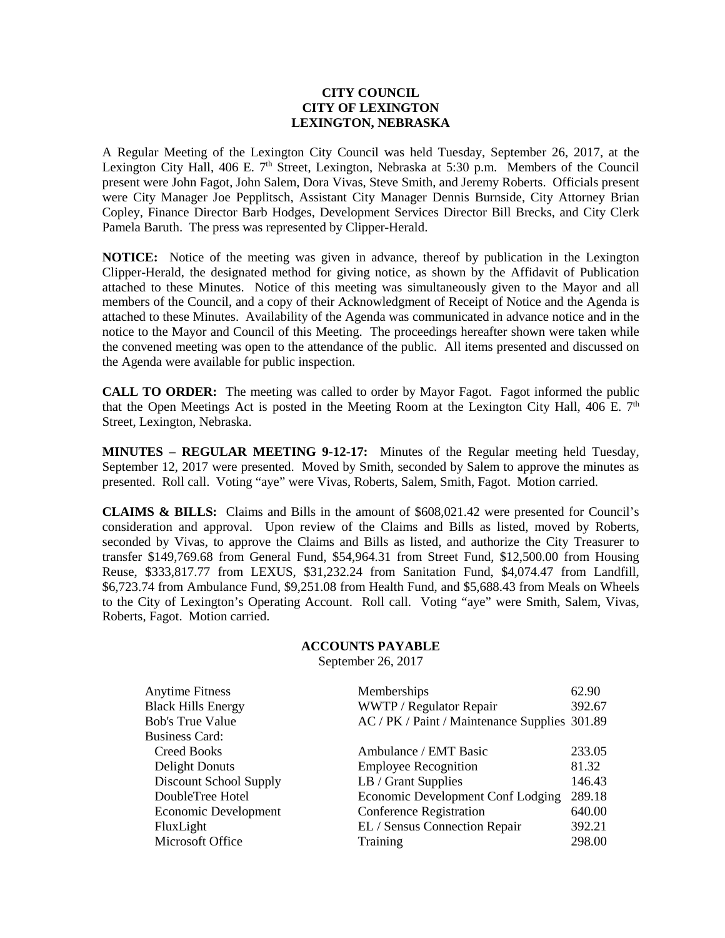## **CITY COUNCIL CITY OF LEXINGTON LEXINGTON, NEBRASKA**

A Regular Meeting of the Lexington City Council was held Tuesday, September 26, 2017, at the Lexington City Hall, 406 E.  $7<sup>th</sup>$  Street, Lexington, Nebraska at 5:30 p.m. Members of the Council present were John Fagot, John Salem, Dora Vivas, Steve Smith, and Jeremy Roberts. Officials present were City Manager Joe Pepplitsch, Assistant City Manager Dennis Burnside, City Attorney Brian Copley, Finance Director Barb Hodges, Development Services Director Bill Brecks, and City Clerk Pamela Baruth. The press was represented by Clipper-Herald.

**NOTICE:** Notice of the meeting was given in advance, thereof by publication in the Lexington Clipper-Herald, the designated method for giving notice, as shown by the Affidavit of Publication attached to these Minutes. Notice of this meeting was simultaneously given to the Mayor and all members of the Council, and a copy of their Acknowledgment of Receipt of Notice and the Agenda is attached to these Minutes. Availability of the Agenda was communicated in advance notice and in the notice to the Mayor and Council of this Meeting. The proceedings hereafter shown were taken while the convened meeting was open to the attendance of the public. All items presented and discussed on the Agenda were available for public inspection.

**CALL TO ORDER:** The meeting was called to order by Mayor Fagot. Fagot informed the public that the Open Meetings Act is posted in the Meeting Room at the Lexington City Hall, 406 E.  $7<sup>th</sup>$ Street, Lexington, Nebraska.

**MINUTES – REGULAR MEETING 9-12-17:** Minutes of the Regular meeting held Tuesday, September 12, 2017 were presented. Moved by Smith, seconded by Salem to approve the minutes as presented. Roll call. Voting "aye" were Vivas, Roberts, Salem, Smith, Fagot. Motion carried.

**CLAIMS & BILLS:** Claims and Bills in the amount of \$608,021.42 were presented for Council's consideration and approval. Upon review of the Claims and Bills as listed, moved by Roberts, seconded by Vivas, to approve the Claims and Bills as listed, and authorize the City Treasurer to transfer \$149,769.68 from General Fund, \$54,964.31 from Street Fund, \$12,500.00 from Housing Reuse, \$333,817.77 from LEXUS, \$31,232.24 from Sanitation Fund, \$4,074.47 from Landfill, \$6,723.74 from Ambulance Fund, \$9,251.08 from Health Fund, and \$5,688.43 from Meals on Wheels to the City of Lexington's Operating Account. Roll call. Voting "aye" were Smith, Salem, Vivas, Roberts, Fagot. Motion carried.

## **ACCOUNTS PAYABLE**

September 26, 2017

| <b>Anytime Fitness</b><br><b>Black Hills Energy</b><br><b>Bob's True Value</b><br><b>Business Card:</b> | Memberships<br>WWTP / Regulator Repair<br>AC / PK / Paint / Maintenance Supplies 301.89 | 62.90<br>392.67 |
|---------------------------------------------------------------------------------------------------------|-----------------------------------------------------------------------------------------|-----------------|
| Creed Books                                                                                             | Ambulance / EMT Basic                                                                   | 233.05          |
| Delight Donuts                                                                                          | <b>Employee Recognition</b>                                                             | 81.32           |
| Discount School Supply                                                                                  | LB / Grant Supplies                                                                     | 146.43          |
| DoubleTree Hotel                                                                                        | Economic Development Conf Lodging                                                       | 289.18          |
| Economic Development                                                                                    | <b>Conference Registration</b>                                                          | 640.00          |
| FluxLight                                                                                               | EL / Sensus Connection Repair                                                           | 392.21          |
| Microsoft Office                                                                                        | Training                                                                                | 298.00          |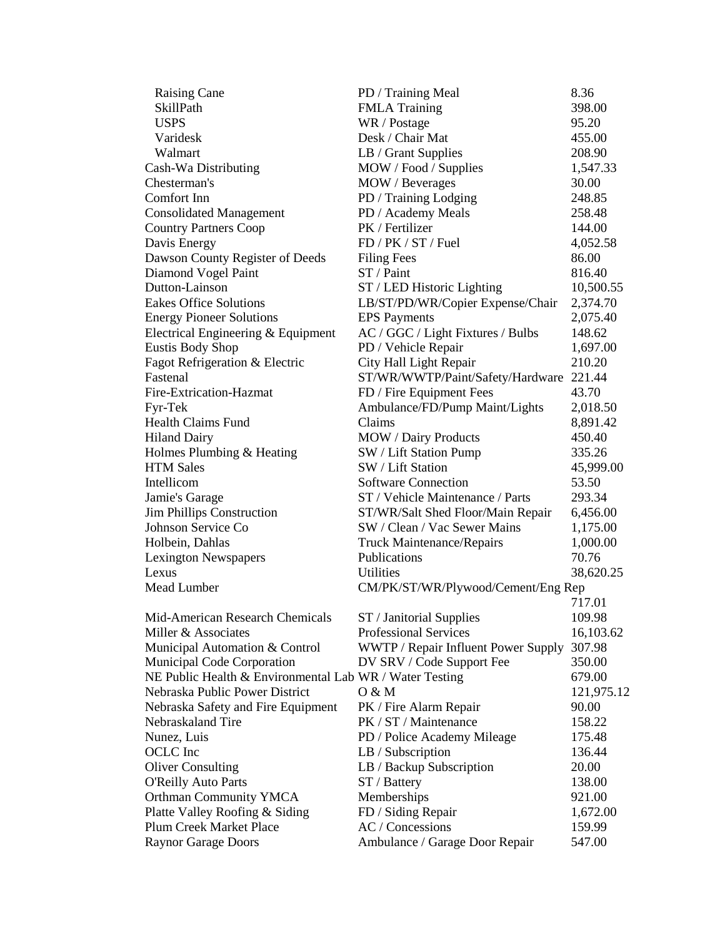| <b>Raising Cane</b>                                     | PD / Training Meal                  | 8.36       |
|---------------------------------------------------------|-------------------------------------|------------|
| SkillPath                                               | <b>FMLA Training</b>                | 398.00     |
| <b>USPS</b>                                             | WR / Postage                        | 95.20      |
| Varidesk                                                | Desk / Chair Mat                    | 455.00     |
| Walmart                                                 | LB / Grant Supplies                 | 208.90     |
| Cash-Wa Distributing                                    | MOW / Food / Supplies               | 1,547.33   |
| Chesterman's                                            | MOW / Beverages                     | 30.00      |
| Comfort Inn                                             | PD / Training Lodging               | 248.85     |
| <b>Consolidated Management</b>                          | PD / Academy Meals                  | 258.48     |
| <b>Country Partners Coop</b>                            | PK / Fertilizer                     | 144.00     |
| Davis Energy                                            | FD / PK / ST / Fuel                 | 4,052.58   |
| Dawson County Register of Deeds                         | <b>Filing Fees</b>                  | 86.00      |
| Diamond Vogel Paint                                     | $ST/$ Paint                         | 816.40     |
| Dutton-Lainson                                          | ST / LED Historic Lighting          | 10,500.55  |
| <b>Eakes Office Solutions</b>                           | LB/ST/PD/WR/Copier Expense/Chair    | 2,374.70   |
| <b>Energy Pioneer Solutions</b>                         | <b>EPS</b> Payments                 | 2,075.40   |
| Electrical Engineering & Equipment                      | AC / GGC / Light Fixtures / Bulbs   | 148.62     |
| <b>Eustis Body Shop</b>                                 | PD / Vehicle Repair                 | 1,697.00   |
| Fagot Refrigeration & Electric                          | City Hall Light Repair              | 210.20     |
| Fastenal                                                | ST/WR/WWTP/Paint/Safety/Hardware    | 221.44     |
| Fire-Extrication-Hazmat                                 | FD / Fire Equipment Fees            | 43.70      |
| Fyr-Tek                                                 | Ambulance/FD/Pump Maint/Lights      | 2,018.50   |
| <b>Health Claims Fund</b>                               | Claims                              | 8,891.42   |
| <b>Hiland Dairy</b>                                     | <b>MOW</b> / Dairy Products         | 450.40     |
| Holmes Plumbing & Heating                               | SW / Lift Station Pump              | 335.26     |
| <b>HTM Sales</b>                                        | SW / Lift Station                   | 45,999.00  |
| Intellicom                                              | <b>Software Connection</b>          | 53.50      |
| Jamie's Garage                                          | ST / Vehicle Maintenance / Parts    | 293.34     |
| <b>Jim Phillips Construction</b>                        | ST/WR/Salt Shed Floor/Main Repair   | 6,456.00   |
| Johnson Service Co                                      | SW / Clean / Vac Sewer Mains        | 1,175.00   |
| Holbein, Dahlas                                         | <b>Truck Maintenance/Repairs</b>    | 1,000.00   |
| <b>Lexington Newspapers</b>                             | Publications                        | 70.76      |
| Lexus                                                   | Utilities                           | 38,620.25  |
| <b>Mead Lumber</b>                                      | CM/PK/ST/WR/Plywood/Cement/Eng Rep  |            |
|                                                         |                                     | 717.01     |
| Mid-American Research Chemicals                         | ST / Janitorial Supplies            | 109.98     |
| Miller & Associates                                     | <b>Professional Services</b>        | 16,103.62  |
| Municipal Automation & Control                          | WWTP / Repair Influent Power Supply | 307.98     |
| Municipal Code Corporation                              | DV SRV / Code Support Fee           | 350.00     |
| NE Public Health & Environmental Lab WR / Water Testing |                                     | 679.00     |
| Nebraska Public Power District                          | 0 & M                               | 121,975.12 |
| Nebraska Safety and Fire Equipment                      | PK / Fire Alarm Repair              | 90.00      |
| Nebraskaland Tire                                       | PK / ST / Maintenance               | 158.22     |
| Nunez, Luis                                             | PD / Police Academy Mileage         | 175.48     |
| <b>OCLC</b> Inc                                         | LB / Subscription                   | 136.44     |
| <b>Oliver Consulting</b>                                | LB / Backup Subscription            | 20.00      |
| <b>O'Reilly Auto Parts</b>                              | ST / Battery                        | 138.00     |
| <b>Orthman Community YMCA</b>                           | Memberships                         | 921.00     |
| Platte Valley Roofing & Siding                          | FD / Siding Repair                  | 1,672.00   |
| <b>Plum Creek Market Place</b>                          | AC / Concessions                    | 159.99     |
| <b>Raynor Garage Doors</b>                              | Ambulance / Garage Door Repair      | 547.00     |
|                                                         |                                     |            |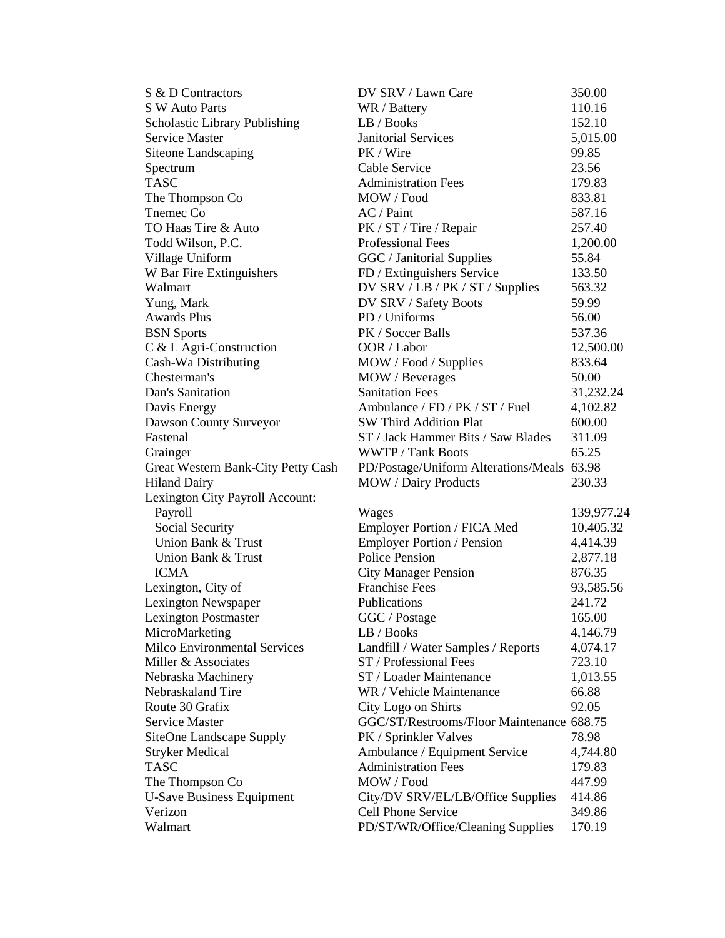| S & D Contractors                  | DV SRV / Lawn Care                         | 350.00     |
|------------------------------------|--------------------------------------------|------------|
| S W Auto Parts                     | WR / Battery                               | 110.16     |
| Scholastic Library Publishing      | LB / Books                                 | 152.10     |
| Service Master                     | <b>Janitorial Services</b>                 | 5,015.00   |
| Siteone Landscaping                | PK / Wire                                  | 99.85      |
| Spectrum                           | Cable Service                              | 23.56      |
| <b>TASC</b>                        | <b>Administration Fees</b>                 | 179.83     |
| The Thompson Co                    | MOW / Food                                 | 833.81     |
| Tnemec Co                          | AC / Paint                                 | 587.16     |
| TO Haas Tire & Auto                | PK / ST / Tire / Repair                    | 257.40     |
| Todd Wilson, P.C.                  | <b>Professional Fees</b>                   | 1,200.00   |
| Village Uniform                    | GGC / Janitorial Supplies                  | 55.84      |
| W Bar Fire Extinguishers           | FD / Extinguishers Service                 | 133.50     |
| Walmart                            | DV SRV / LB / PK / ST / Supplies           | 563.32     |
| Yung, Mark                         | DV SRV / Safety Boots                      | 59.99      |
| <b>Awards Plus</b>                 | PD / Uniforms                              | 56.00      |
| <b>BSN</b> Sports                  | PK / Soccer Balls                          | 537.36     |
| C & L Agri-Construction            | OOR / Labor                                | 12,500.00  |
| Cash-Wa Distributing               | MOW / Food / Supplies                      | 833.64     |
| Chesterman's                       | MOW / Beverages                            | 50.00      |
| Dan's Sanitation                   | <b>Sanitation Fees</b>                     | 31,232.24  |
| Davis Energy                       | Ambulance / FD / PK / ST / Fuel            | 4,102.82   |
| Dawson County Surveyor             | <b>SW Third Addition Plat</b>              | 600.00     |
| Fastenal                           | ST / Jack Hammer Bits / Saw Blades         | 311.09     |
| Grainger                           | <b>WWTP</b> / Tank Boots                   | 65.25      |
| Great Western Bank-City Petty Cash | PD/Postage/Uniform Alterations/Meals 63.98 |            |
| <b>Hiland Dairy</b>                | <b>MOW</b> / Dairy Products                | 230.33     |
| Lexington City Payroll Account:    |                                            |            |
| Payroll                            | Wages                                      | 139,977.24 |
| Social Security                    | Employer Portion / FICA Med                | 10,405.32  |
| Union Bank & Trust                 | <b>Employer Portion / Pension</b>          | 4,414.39   |
| Union Bank & Trust                 | <b>Police Pension</b>                      | 2,877.18   |
| <b>ICMA</b>                        | <b>City Manager Pension</b>                | 876.35     |
| Lexington, City of                 | <b>Franchise Fees</b>                      | 93,585.56  |
| Lexington Newspaper                | Publications                               | 241.72     |
| <b>Lexington Postmaster</b>        | GGC / Postage                              | 165.00     |
| MicroMarketing                     | LB / Books                                 | 4,146.79   |
| Milco Environmental Services       | Landfill / Water Samples / Reports         | 4,074.17   |
| Miller & Associates                | ST / Professional Fees                     | 723.10     |
| Nebraska Machinery                 | ST / Loader Maintenance                    | 1,013.55   |
| Nebraskaland Tire                  | WR / Vehicle Maintenance                   | 66.88      |
| Route 30 Grafix                    | City Logo on Shirts                        | 92.05      |
| Service Master                     | GGC/ST/Restrooms/Floor Maintenance 688.75  |            |
| SiteOne Landscape Supply           | PK / Sprinkler Valves                      | 78.98      |
| <b>Stryker Medical</b>             | Ambulance / Equipment Service              | 4,744.80   |
| <b>TASC</b>                        | <b>Administration Fees</b>                 | 179.83     |
| The Thompson Co                    | MOW / Food                                 | 447.99     |
| <b>U-Save Business Equipment</b>   | City/DV SRV/EL/LB/Office Supplies          | 414.86     |
| Verizon                            | Cell Phone Service                         | 349.86     |
| Walmart                            | PD/ST/WR/Office/Cleaning Supplies          | 170.19     |
|                                    |                                            |            |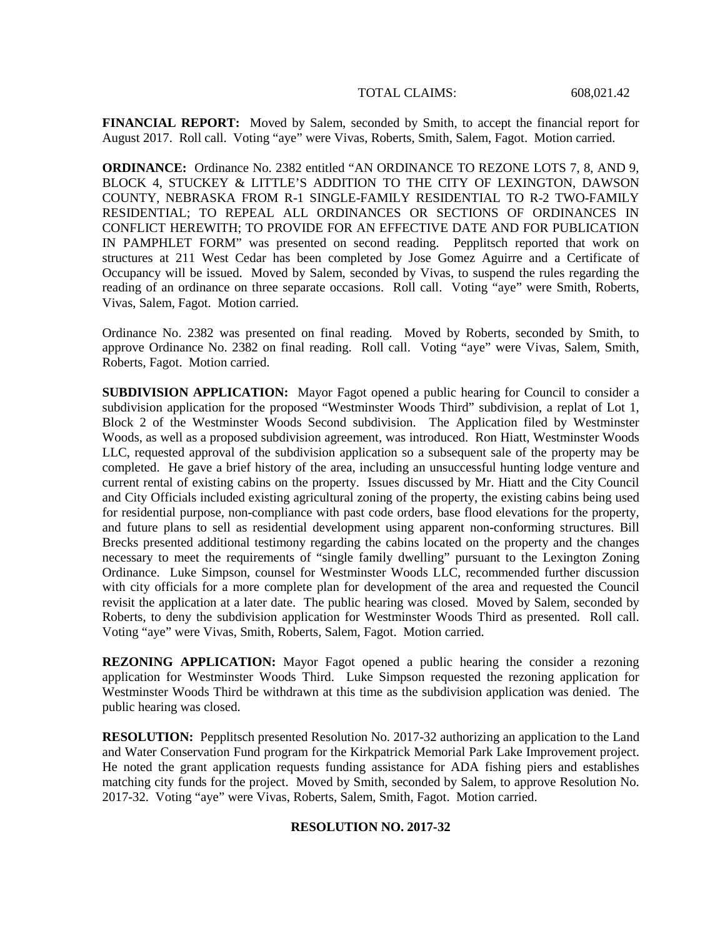**FINANCIAL REPORT:** Moved by Salem, seconded by Smith, to accept the financial report for August 2017. Roll call. Voting "aye" were Vivas, Roberts, Smith, Salem, Fagot. Motion carried.

**ORDINANCE:** Ordinance No. 2382 entitled "AN ORDINANCE TO REZONE LOTS 7, 8, AND 9, BLOCK 4, STUCKEY & LITTLE'S ADDITION TO THE CITY OF LEXINGTON, DAWSON COUNTY, NEBRASKA FROM R-1 SINGLE-FAMILY RESIDENTIAL TO R-2 TWO-FAMILY RESIDENTIAL; TO REPEAL ALL ORDINANCES OR SECTIONS OF ORDINANCES IN CONFLICT HEREWITH; TO PROVIDE FOR AN EFFECTIVE DATE AND FOR PUBLICATION IN PAMPHLET FORM" was presented on second reading. Pepplitsch reported that work on structures at 211 West Cedar has been completed by Jose Gomez Aguirre and a Certificate of Occupancy will be issued. Moved by Salem, seconded by Vivas, to suspend the rules regarding the reading of an ordinance on three separate occasions. Roll call. Voting "aye" were Smith, Roberts, Vivas, Salem, Fagot. Motion carried.

Ordinance No. 2382 was presented on final reading. Moved by Roberts, seconded by Smith, to approve Ordinance No. 2382 on final reading. Roll call. Voting "aye" were Vivas, Salem, Smith, Roberts, Fagot. Motion carried.

**SUBDIVISION APPLICATION:** Mayor Fagot opened a public hearing for Council to consider a subdivision application for the proposed "Westminster Woods Third" subdivision, a replat of Lot 1, Block 2 of the Westminster Woods Second subdivision. The Application filed by Westminster Woods, as well as a proposed subdivision agreement, was introduced. Ron Hiatt, Westminster Woods LLC, requested approval of the subdivision application so a subsequent sale of the property may be completed. He gave a brief history of the area, including an unsuccessful hunting lodge venture and current rental of existing cabins on the property. Issues discussed by Mr. Hiatt and the City Council and City Officials included existing agricultural zoning of the property, the existing cabins being used for residential purpose, non-compliance with past code orders, base flood elevations for the property, and future plans to sell as residential development using apparent non-conforming structures. Bill Brecks presented additional testimony regarding the cabins located on the property and the changes necessary to meet the requirements of "single family dwelling" pursuant to the Lexington Zoning Ordinance. Luke Simpson, counsel for Westminster Woods LLC, recommended further discussion with city officials for a more complete plan for development of the area and requested the Council revisit the application at a later date. The public hearing was closed. Moved by Salem, seconded by Roberts, to deny the subdivision application for Westminster Woods Third as presented. Roll call. Voting "aye" were Vivas, Smith, Roberts, Salem, Fagot. Motion carried.

**REZONING APPLICATION:** Mayor Fagot opened a public hearing the consider a rezoning application for Westminster Woods Third. Luke Simpson requested the rezoning application for Westminster Woods Third be withdrawn at this time as the subdivision application was denied. The public hearing was closed.

**RESOLUTION:** Pepplitsch presented Resolution No. 2017-32 authorizing an application to the Land and Water Conservation Fund program for the Kirkpatrick Memorial Park Lake Improvement project. He noted the grant application requests funding assistance for ADA fishing piers and establishes matching city funds for the project. Moved by Smith, seconded by Salem, to approve Resolution No. 2017-32. Voting "aye" were Vivas, Roberts, Salem, Smith, Fagot. Motion carried.

## **RESOLUTION NO. 2017-32**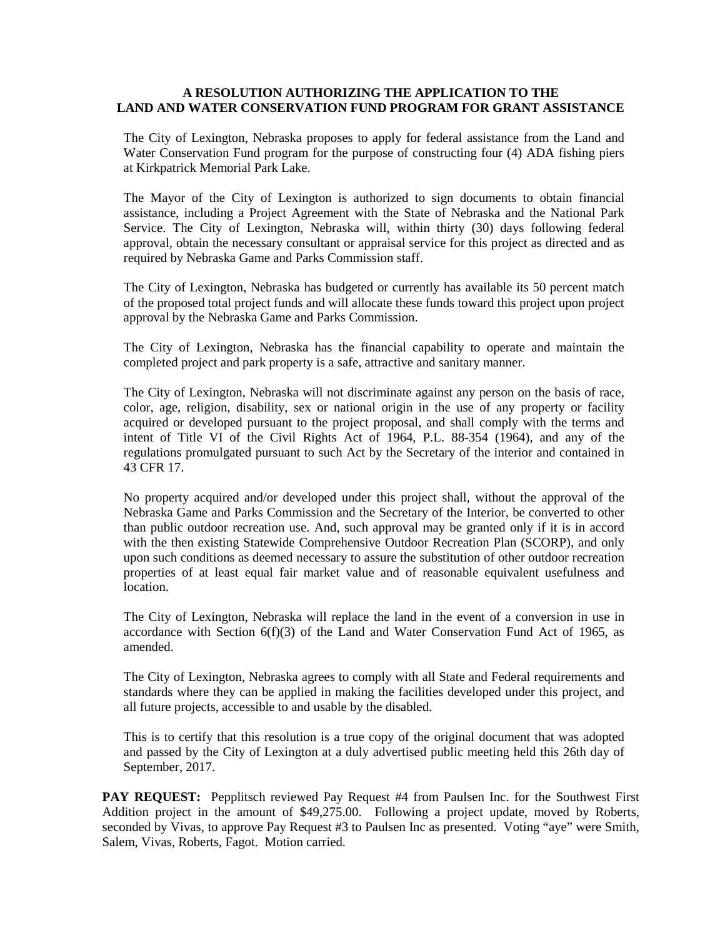## **A RESOLUTION AUTHORIZING THE APPLICATION TO THE LAND AND WATER CONSERVATION FUND PROGRAM FOR GRANT ASSISTANCE**

The City of Lexington, Nebraska proposes to apply for federal assistance from the Land and Water Conservation Fund program for the purpose of constructing four (4) ADA fishing piers at Kirkpatrick Memorial Park Lake.

The Mayor of the City of Lexington is authorized to sign documents to obtain financial assistance, including a Project Agreement with the State of Nebraska and the National Park Service. The City of Lexington, Nebraska will, within thirty (30) days following federal approval, obtain the necessary consultant or appraisal service for this project as directed and as required by Nebraska Game and Parks Commission staff.

The City of Lexington, Nebraska has budgeted or currently has available its 50 percent match of the proposed total project funds and will allocate these funds toward this project upon project approval by the Nebraska Game and Parks Commission.

The City of Lexington, Nebraska has the financial capability to operate and maintain the completed project and park property is a safe, attractive and sanitary manner.

The City of Lexington, Nebraska will not discriminate against any person on the basis of race, color, age, religion, disability, sex or national origin in the use of any property or facility acquired or developed pursuant to the project proposal, and shall comply with the terms and intent of Title VI of the Civil Rights Act of 1964, P.L. 88-354 (1964), and any of the regulations promulgated pursuant to such Act by the Secretary of the interior and contained in 43 CFR 17.

No property acquired and/or developed under this project shall, without the approval of the Nebraska Game and Parks Commission and the Secretary of the Interior, be converted to other than public outdoor recreation use. And, such approval may be granted only if it is in accord with the then existing Statewide Comprehensive Outdoor Recreation Plan (SCORP), and only upon such conditions as deemed necessary to assure the substitution of other outdoor recreation properties of at least equal fair market value and of reasonable equivalent usefulness and location.

The City of Lexington, Nebraska will replace the land in the event of a conversion in use in accordance with Section  $6(f)(3)$  of the Land and Water Conservation Fund Act of 1965, as amended.

The City of Lexington, Nebraska agrees to comply with all State and Federal requirements and standards where they can be applied in making the facilities developed under this project, and all future projects, accessible to and usable by the disabled.

This is to certify that this resolution is a true copy of the original document that was adopted and passed by the City of Lexington at a duly advertised public meeting held this 26th day of September, 2017.

**PAY REQUEST:** Pepplitsch reviewed Pay Request #4 from Paulsen Inc. for the Southwest First Addition project in the amount of \$49,275.00. Following a project update, moved by Roberts, seconded by Vivas, to approve Pay Request #3 to Paulsen Inc as presented. Voting "aye" were Smith, Salem, Vivas, Roberts, Fagot. Motion carried.